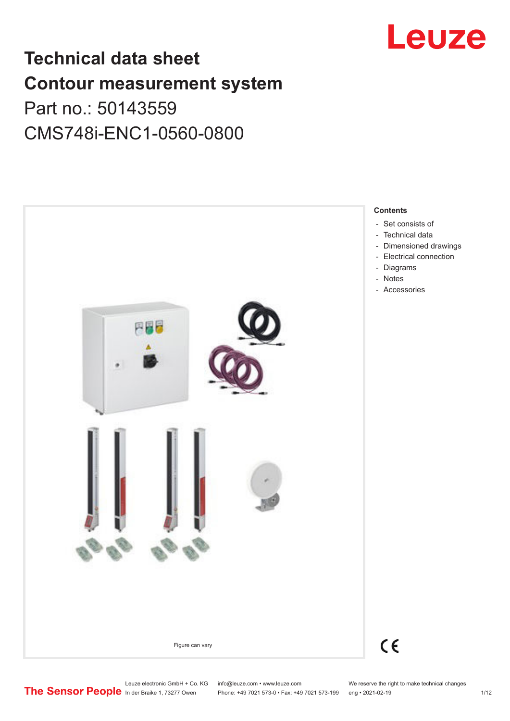

## **Technical data sheet Contour measurement system** Part no.: 50143559

CMS748i-ENC1-0560-0800

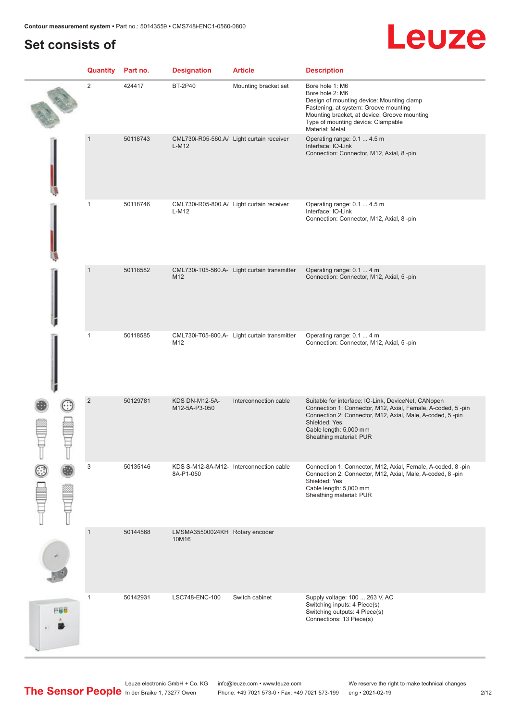## **Set consists of**

## Leuze

|     | <b>Quantity</b> Part no. |          | <b>Designation</b>                      | <b>Article</b>                               | <b>Description</b>                                                                                                                                                                                                                                    |
|-----|--------------------------|----------|-----------------------------------------|----------------------------------------------|-------------------------------------------------------------------------------------------------------------------------------------------------------------------------------------------------------------------------------------------------------|
|     | $\overline{2}$           | 424417   | <b>BT-2P40</b>                          | Mounting bracket set                         | Bore hole 1: M6<br>Bore hole 2: M6<br>Design of mounting device: Mounting clamp<br>Fastening, at system: Groove mounting<br>Mounting bracket, at device: Groove mounting<br>Type of mounting device: Clampable<br>Material: Metal                     |
|     | $\mathbf{1}$             | 50118743 | $L-M12$                                 | CML730i-R05-560.A/ Light curtain receiver    | Operating range: 0.1  4.5 m<br>Interface: IO-Link<br>Connection: Connector, M12, Axial, 8-pin                                                                                                                                                         |
|     | $\mathbf{1}$             | 50118746 | $L-M12$                                 | CML730i-R05-800.A/ Light curtain receiver    | Operating range: 0.1  4.5 m<br>Interface: IO-Link<br>Connection: Connector, M12, Axial, 8-pin                                                                                                                                                         |
|     | $\mathbf{1}$             | 50118582 | M12                                     | CML730i-T05-560.A- Light curtain transmitter | Operating range: 0.1  4 m<br>Connection: Connector, M12, Axial, 5-pin                                                                                                                                                                                 |
|     | $\mathbf{1}$             | 50118585 | M12                                     | CML730i-T05-800.A- Light curtain transmitter | Operating range: 0.1  4 m<br>Connection: Connector, M12, Axial, 5-pin                                                                                                                                                                                 |
|     | $\overline{2}$           | 50129781 | <b>KDS DN-M12-5A-</b><br>M12-5A-P3-050  | Interconnection cable                        | Suitable for interface: IO-Link, DeviceNet, CANopen<br>Connection 1: Connector, M12, Axial, Female, A-coded, 5-pin<br>Connection 2: Connector, M12, Axial, Male, A-coded, 5-pin<br>Shielded: Yes<br>Cable length: 5,000 mm<br>Sheathing material: PUR |
|     | 3                        | 50135146 | 8A-P1-050                               | KDS S-M12-8A-M12- Interconnection cable      | Connection 1: Connector, M12, Axial, Female, A-coded, 8-pin<br>Connection 2: Connector, M12, Axial, Male, A-coded, 8-pin<br>Shielded: Yes<br>Cable length: 5,000 mm<br>Sheathing material: PUR                                                        |
|     | $\mathbf{1}$             | 50144568 | LMSMA35500024KH Rotary encoder<br>10M16 |                                              |                                                                                                                                                                                                                                                       |
| 円線位 | $\mathbf{1}$             | 50142931 | LSC748-ENC-100                          | Switch cabinet                               | Supply voltage: 100  263 V, AC<br>Switching inputs: 4 Piece(s)<br>Switching outputs: 4 Piece(s)<br>Connections: 13 Piece(s)                                                                                                                           |

Leuze electronic GmbH + Co. KG info@leuze.com • www.leuze.com We reserve the right to make technical changes In der Braike 1, 73277 Owen Phone: +49 7021 573-0 • Fax: +49 7021 573-199 eng • 2021-02-19 2/12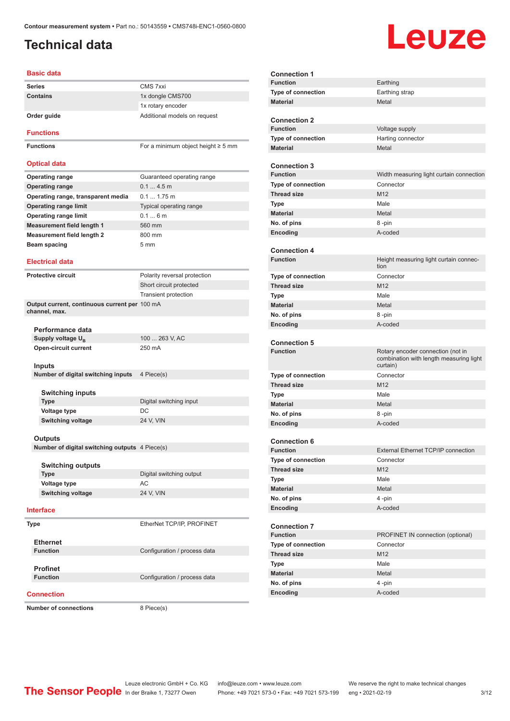### <span id="page-2-0"></span>**Technical data**

# Leuze

| <b>Basic data</b>                              |                                         |
|------------------------------------------------|-----------------------------------------|
| <b>Series</b>                                  | CMS 7xxi                                |
| <b>Contains</b>                                | 1x dongle CMS700                        |
|                                                | 1x rotary encoder                       |
| Order guide                                    | Additional models on request            |
| <b>Functions</b>                               |                                         |
| <b>Functions</b>                               | For a minimum object height $\geq$ 5 mm |
| <b>Optical data</b>                            |                                         |
| <b>Operating range</b>                         | Guaranteed operating range              |
| <b>Operating range</b>                         | 0.14.5m                                 |
| Operating range, transparent media             | $0.1 1.75$ m                            |
| <b>Operating range limit</b>                   | Typical operating range                 |
| <b>Operating range limit</b>                   | 0.16m                                   |
| <b>Measurement field length 1</b>              | 560 mm                                  |
| <b>Measurement field length 2</b>              | 800 mm                                  |
| Beam spacing                                   | 5 <sub>mm</sub>                         |
|                                                |                                         |
| <b>Electrical data</b>                         |                                         |
| <b>Protective circuit</b>                      | Polarity reversal protection            |
|                                                | Short circuit protected                 |
|                                                | <b>Transient protection</b>             |
| Output current, continuous current per 100 mA  |                                         |
| channel, max.                                  |                                         |
|                                                |                                         |
| Performance data                               |                                         |
| Supply voltage U <sub>B</sub>                  | 100  263 V, AC                          |
| Open-circuit current                           | 250 mA                                  |
|                                                |                                         |
| Inputs                                         |                                         |
| Number of digital switching inputs             | 4 Piece(s)                              |
|                                                |                                         |
| <b>Switching inputs</b>                        |                                         |
| <b>Type</b>                                    | Digital switching input                 |
| <b>Voltage type</b>                            | DC                                      |
| <b>Switching voltage</b>                       | 24 V. VIN                               |
|                                                |                                         |
| Outputs                                        |                                         |
| Number of digital switching outputs 4 Piece(s) |                                         |
| <b>Switching outputs</b>                       |                                         |
| <b>Type</b>                                    | Digital switching output                |
| Voltage type                                   | AC.                                     |
| <b>Switching voltage</b>                       | 24 V, VIN                               |
|                                                |                                         |
| <b>Interface</b>                               |                                         |
| Type                                           | EtherNet TCP/IP, PROFINET               |
|                                                |                                         |
| <b>Ethernet</b>                                |                                         |
| <b>Function</b>                                | Configuration / process data            |
|                                                |                                         |
| <b>Profinet</b>                                |                                         |
| <b>Function</b>                                | Configuration / process data            |
|                                                |                                         |

| <b>Connection 1</b>       |                                                                              |
|---------------------------|------------------------------------------------------------------------------|
| <b>Function</b>           | Earthing                                                                     |
| <b>Type of connection</b> | Earthing strap                                                               |
| <b>Material</b>           | Metal                                                                        |
|                           |                                                                              |
| <b>Connection 2</b>       |                                                                              |
| <b>Function</b>           | Voltage supply                                                               |
| Type of connection        | Harting connector                                                            |
| <b>Material</b>           | Metal                                                                        |
| <b>Connection 3</b>       |                                                                              |
| <b>Function</b>           | Width measuring light curtain connection                                     |
| <b>Type of connection</b> | Connector                                                                    |
| <b>Thread size</b>        | M12                                                                          |
| <b>Type</b>               | Male                                                                         |
| <b>Material</b>           | Metal                                                                        |
| No. of pins               | 8 -pin                                                                       |
| Encoding                  | A-coded                                                                      |
|                           |                                                                              |
| <b>Connection 4</b>       |                                                                              |
| <b>Function</b>           | Height measuring light curtain connec-                                       |
|                           | tion                                                                         |
| <b>Type of connection</b> | Connector                                                                    |
| <b>Thread size</b>        | M12                                                                          |
| Type                      | Male                                                                         |
| <b>Material</b>           | Metal                                                                        |
| No. of pins               | 8-pin                                                                        |
| Encoding                  | A-coded                                                                      |
|                           |                                                                              |
|                           |                                                                              |
| <b>Connection 5</b>       |                                                                              |
| <b>Function</b>           | Rotary encoder connection (not in<br>combination with length measuring light |
|                           | curtain)                                                                     |
| <b>Type of connection</b> | Connector                                                                    |
| <b>Thread size</b>        | M <sub>12</sub>                                                              |
| <b>Type</b>               | Male                                                                         |
| <b>Material</b>           | Metal                                                                        |
| No. of pins               | 8 -pin                                                                       |
| Encoding                  | A-coded                                                                      |
|                           |                                                                              |
| <b>Connection 6</b>       |                                                                              |
| <b>Function</b>           | External Ethernet TCP/IP connection                                          |
| Type of connection        | Connector                                                                    |
| <b>Thread size</b>        | M12                                                                          |
| Type                      | Male                                                                         |
| <b>Material</b>           | Metal                                                                        |
| No. of pins               | 4 -pin                                                                       |
| Encoding                  | A-coded                                                                      |
| <b>Connection 7</b>       |                                                                              |
| <b>Function</b>           | PROFINET IN connection (optional)                                            |
| Type of connection        | Connector                                                                    |
| <b>Thread size</b>        | M12                                                                          |
| <b>Type</b>               | Male                                                                         |
| <b>Material</b>           | Metal                                                                        |
| No. of pins               | 4-pin                                                                        |

#### **Connection**

**Number of connections** 8 Piece(s)

Leuze electronic GmbH + Co. KG info@leuze.com • www.leuze.com We reserve the right to make technical changes In der Braike 1, 73277 Owen Phone: +49 7021 573-0 • Fax: +49 7021 573-199 eng • 2021-02-19 3/12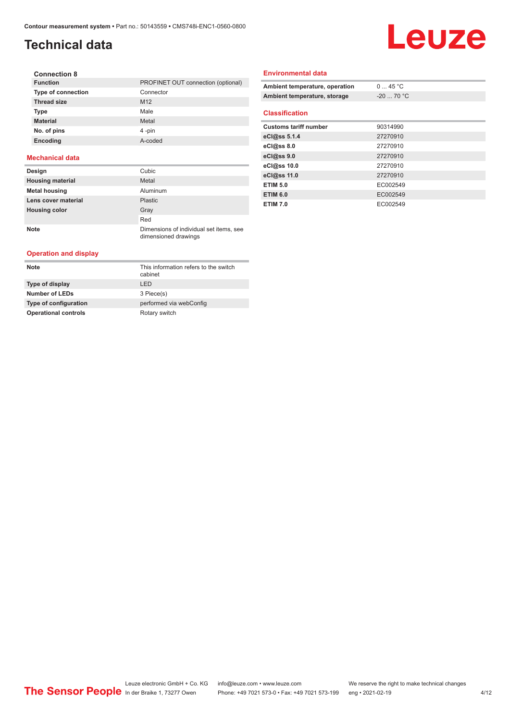## **Technical data**

# Leuze

| <b>Connection 8</b>       |                                    |
|---------------------------|------------------------------------|
| <b>Function</b>           | PROFINET OUT connection (optional) |
| <b>Type of connection</b> | Connector                          |
| <b>Thread size</b>        | M <sub>12</sub>                    |
| <b>Type</b>               | Male                               |
| <b>Material</b>           | Metal                              |
| No. of pins               | 4-pin                              |
| Encoding                  | A-coded                            |
|                           |                                    |

#### **Mechanical data**

| Design                  | Cubic                                                           |
|-------------------------|-----------------------------------------------------------------|
| <b>Housing material</b> | Metal                                                           |
| <b>Metal housing</b>    | Aluminum                                                        |
| Lens cover material     | <b>Plastic</b>                                                  |
| <b>Housing color</b>    | Gray                                                            |
|                         | Red                                                             |
| <b>Note</b>             | Dimensions of individual set items, see<br>dimensioned drawings |

#### **Operation and display**

| <b>Note</b>                 | This information refers to the switch<br>cabinet |
|-----------------------------|--------------------------------------------------|
| Type of display             | I FD.                                            |
| <b>Number of LEDs</b>       | 3 Piece(s)                                       |
| Type of configuration       | performed via webConfig                          |
| <b>Operational controls</b> | Rotary switch                                    |

#### **Environmental data**

| Ambient temperature, operation | $0 \dots 45$ °C |
|--------------------------------|-----------------|
| Ambient temperature, storage   | $-20$ 70 °C     |
| <b>Classification</b>          |                 |
|                                |                 |
| <b>Customs tariff number</b>   | 90314990        |
| eCl@ss 5.1.4                   | 27270910        |
| eCl@ss 8.0                     | 27270910        |
| eCl@ss 9.0                     | 27270910        |
| eCl@ss 10.0                    | 27270910        |
| eCl@ss 11.0                    | 27270910        |
| <b>ETIM 5.0</b>                | EC002549        |
| <b>ETIM 6.0</b>                | EC002549        |
| <b>ETIM 7.0</b>                | EC002549        |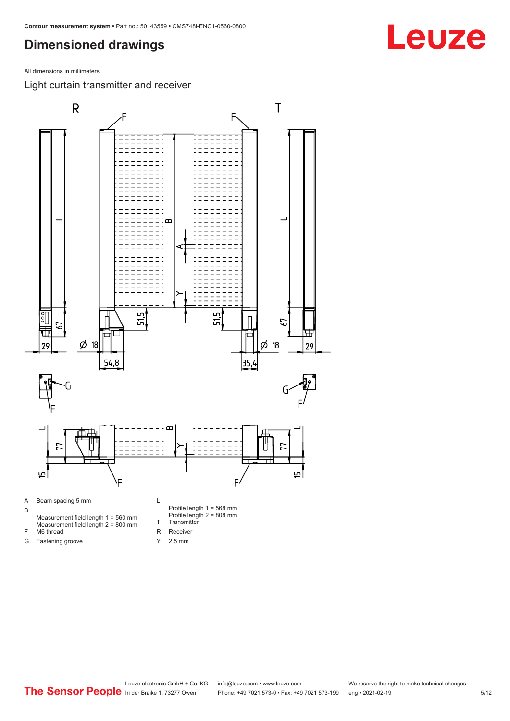<span id="page-4-0"></span>All dimensions in millimeters

Light curtain transmitter and receiver



Y 2.5 mm

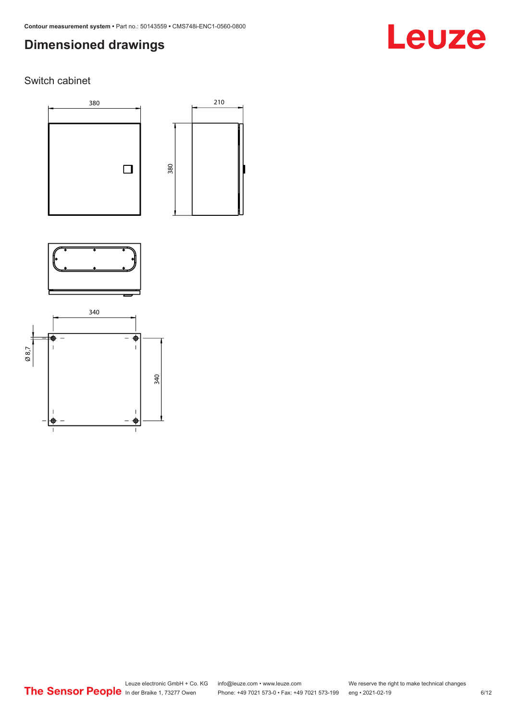# Leuze

#### Switch cabinet







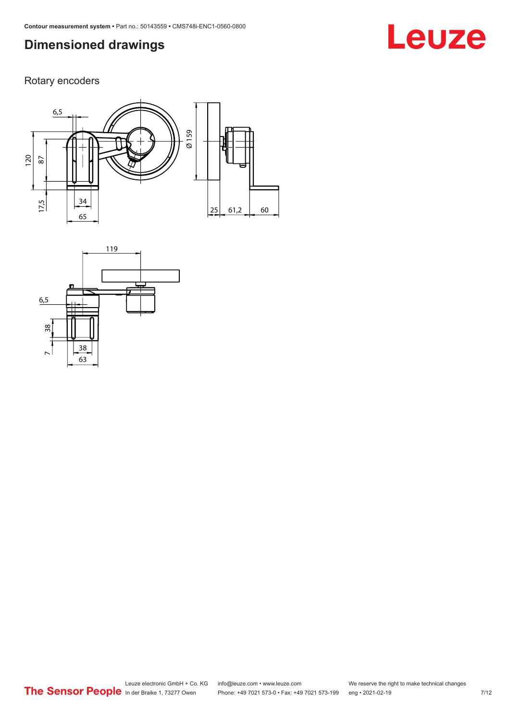# **Leuze**

Rotary encoders



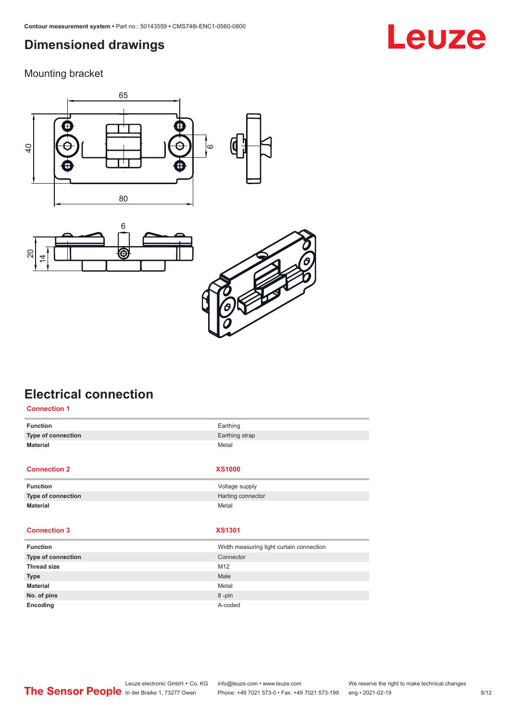<span id="page-7-0"></span>Mounting bracket







## **Electrical connection**

| <b>Connection 1</b> |                                          |
|---------------------|------------------------------------------|
| <b>Function</b>     | Earthing                                 |
| Type of connection  | Earthing strap                           |
| <b>Material</b>     | Metal                                    |
|                     |                                          |
| <b>Connection 2</b> | <b>XS1000</b>                            |
| <b>Function</b>     | Voltage supply                           |
| Type of connection  | Harting connector                        |
| <b>Material</b>     | Metal                                    |
|                     |                                          |
| <b>Connection 3</b> | <b>XS1301</b>                            |
| <b>Function</b>     | Width measuring light curtain connection |
| Type of connection  | Connector                                |
| <b>Thread size</b>  | M12                                      |
| <b>Type</b>         | Male                                     |
| <b>Material</b>     | Metal                                    |
| No. of pins         | 8-pin                                    |
| Encoding            | A-coded                                  |

## **Leuze**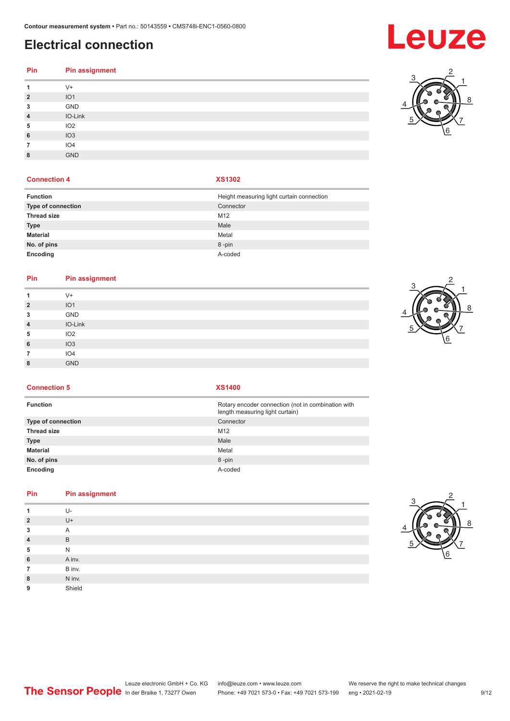## **Electrical connection**

| Pin              | <b>Pin assignment</b> |
|------------------|-----------------------|
| 1                | $V^+$                 |
|                  |                       |
| $\overline{2}$   | IO1                   |
| $\mathbf{3}$     | GND                   |
| $\overline{4}$   | IO-Link               |
| 5                | IO2                   |
| $\boldsymbol{6}$ | IO3                   |
| $\overline{7}$   | IO4                   |
| 8                | <b>GND</b>            |
|                  |                       |

#### **Connection 4 XS1302**

| <b>Function</b>    | Height measuring light curtain connection |
|--------------------|-------------------------------------------|
| Type of connection | Connector                                 |
| <b>Thread size</b> | M12                                       |
| <b>Type</b>        | Male                                      |
| <b>Material</b>    | Metal                                     |
| No. of pins        | 8-pin                                     |
| Encoding           | A-coded                                   |

#### **Pin Pin assignment**

| 1              | $V +$           |
|----------------|-----------------|
| $\overline{2}$ | IO <sub>1</sub> |
| 3              | GND             |
| $\overline{4}$ | IO-Link         |
| 5              | IO <sub>2</sub> |
| 6              | IO3             |
| 7              | IO4             |
| 8              | <b>GND</b>      |
|                |                 |



**Connection 5 XS1400**

| <b>Function</b>           | Rotary encoder connection (not in combination with<br>length measuring light curtain) |
|---------------------------|---------------------------------------------------------------------------------------|
| <b>Type of connection</b> | Connector                                                                             |
| <b>Thread size</b>        | M <sub>12</sub>                                                                       |
| Type                      | Male                                                                                  |
| Material                  | Metal                                                                                 |
| No. of pins               | 8-pin                                                                                 |
| Encoding                  | A-coded                                                                               |

#### **Pin Pin assignment**

| 1              | U-     |
|----------------|--------|
| $\overline{2}$ | $U +$  |
| 3              | A      |
| $\overline{4}$ | B      |
| 5              | N      |
| 6              | A inv. |
| 7              | B inv. |
| 8              | N inv. |
| 9              | Shield |
|                |        |



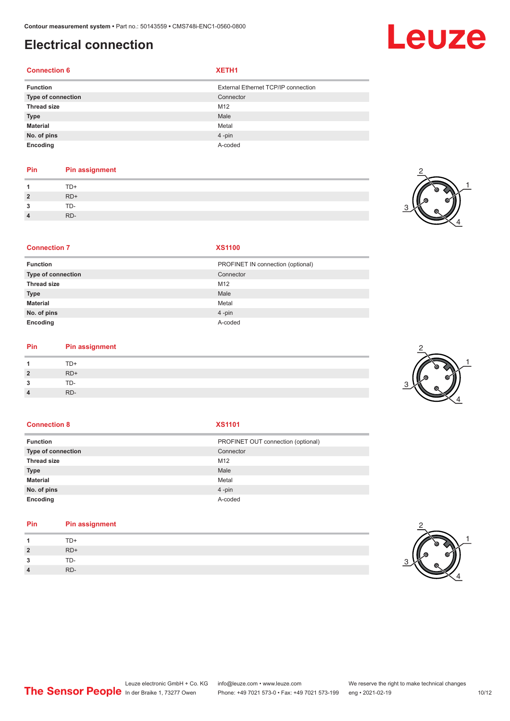### **Electrical connection**

#### **Connection 6 XETH1**

| <b>Function</b>    | External Ethernet TCP/IP connection |
|--------------------|-------------------------------------|
| Type of connection | Connector                           |
| <b>Thread size</b> | M12                                 |
| <b>Type</b>        | Male                                |
| Material           | Metal                               |
| No. of pins        | $4 - pin$                           |
| Encoding           | A-coded                             |

#### **Pin Pin assignment**

| $\overline{1}$ | TD+   |
|----------------|-------|
| $\overline{2}$ | $RD+$ |
| $\mathbf{3}$   | TD-   |
| $\overline{4}$ | RD-   |



2

#### **Connection 7 XS1100**

| PROFINET IN connection (optional) |
|-----------------------------------|
| Connector                         |
| M12                               |
| Male                              |
| Metal                             |
| $4 - pin$                         |
| A-coded                           |
|                                   |

#### **Pin Pin assignment**

| $\overline{A}$ | TD+   |
|----------------|-------|
| $\overline{2}$ | $RD+$ |
| $\overline{3}$ | TD-   |
| $\overline{4}$ | RD-   |

#### **Connection 8 XS1101**

| <b>Function</b>           | PROFINET OUT connection (optional) |
|---------------------------|------------------------------------|
| <b>Type of connection</b> | Connector                          |
| <b>Thread size</b>        | M12                                |
| <b>Type</b>               | Male                               |
| <b>Material</b>           | Metal                              |
| No. of pins               | $4$ -pin                           |
| Encoding                  | A-coded                            |

#### **Pin Pin assignment**

| $\overline{1}$ | TD+   |
|----------------|-------|
| $2^{\circ}$    | $RD+$ |
| $\mathbf{3}$   | TD-   |
| $\overline{4}$ | RD-   |

# 2





4

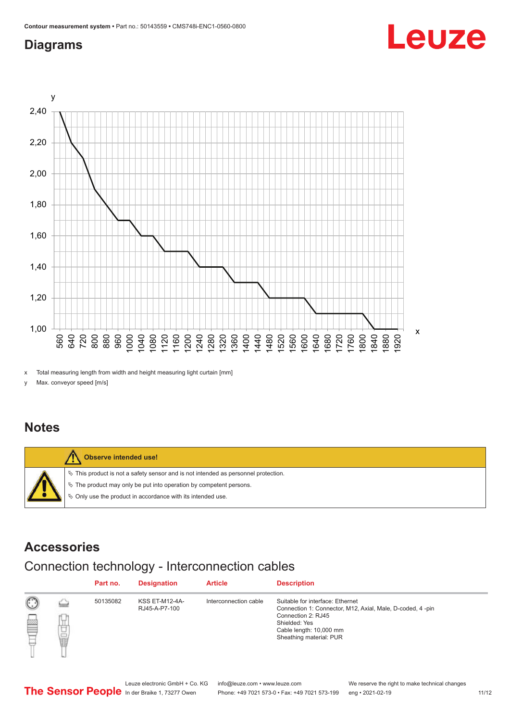#### <span id="page-10-0"></span>**Diagrams**



x Total measuring length from width and height measuring light curtain [mm]

y Max. conveyor speed [m/s]

#### **Notes**



#### **Accessories**

### Connection technology - Interconnection cables

|   |                     | Part no. | <b>Designation</b>                     | <b>Article</b>        | <b>Description</b>                                                                                                                                                                         |
|---|---------------------|----------|----------------------------------------|-----------------------|--------------------------------------------------------------------------------------------------------------------------------------------------------------------------------------------|
| ▩ | <b>Spring</b><br>甘量 | 50135082 | <b>KSS ET-M12-4A-</b><br>RJ45-A-P7-100 | Interconnection cable | Suitable for interface: Ethernet<br>Connection 1: Connector, M12, Axial, Male, D-coded, 4-pin<br>Connection 2: RJ45<br>Shielded: Yes<br>Cable length: 10,000 mm<br>Sheathing material: PUR |

Leuze